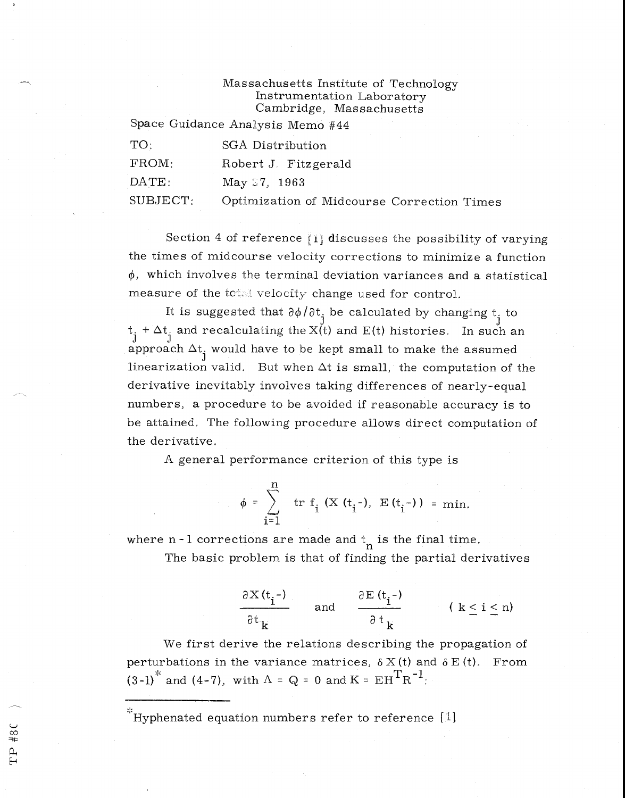## Massachusetts Institute of Technology Instrumentation Laboratory Cambridge, Massachusetts

Space Guidance Analysis Memo #44

| TO:            | SGA Distribution                           |
|----------------|--------------------------------------------|
| FROM:          | Robert J. Fitzgerald                       |
| $\text{DATE}:$ | May 27, 1963                               |
| SUBJECT:       | Optimization of Midcourse Correction Times |

Section 4 of reference [1] discusses the possibility of varying the times of midcourse velocity corrections to minimize a function  $\phi$ , which involves the terminal deviation variances and a statistical measure of the total velocity change used for control.

It is suggested that  $\partial \phi / \partial t^{\dagger}$  be calculated by changing  $t^{\dagger}$  to  $t_i + \Delta t_i$  and recalculating the X(t) and E(t) histories. In such an  $\frac{1}{3}$  approach  $\Delta t^{\pm}$  would have to be kept small to make the assumed linearization valid. But when  $\Delta t$  is small, the computation of the derivative inevitably involves taking differences of nearly-equal numbers, a procedure to be avoided if reasonable accuracy is to be attained, The following procedure allows direct computation of the derivative,

A general performance criterion of this type is

$$
\phi = \sum_{i=1}^{n} tr f_i (X(t_i-), E(t_i-)) = min.
$$

where  $n - 1$  corrections are made and  $t_{n}$  is the final time.

The basic problem is that of finding the partial derivatives

$$
\frac{\partial X(t_i^{-})}{\partial t_k} \quad \text{and} \quad \frac{\partial E(t_i^{-})}{\partial t_k} \quad (k \le i \le n)
$$

We first derive the relations describing the propagation of perturbations in the variance matrices,  $\delta X(t)$  and  $\delta E(t)$ . From  $(3-1)^*$  and  $(4-7)$ , with  $\Lambda = Q = 0$  and  $K = E H^T R^{-1}$ .

 $k^*$ Hyphenated equation numbers refer to reference [1]

TP #80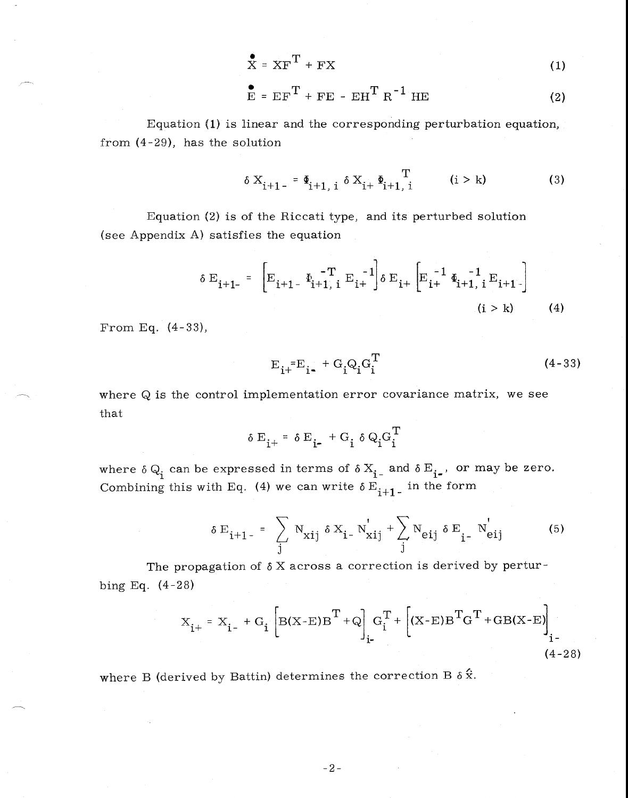$$
\mathbf{X} = \mathbf{X}\mathbf{F}^{\mathrm{T}} + \mathbf{F}\mathbf{X} \tag{1}
$$

$$
\mathbf{E} = \mathbf{E} \mathbf{F}^{\mathrm{T}} + \mathbf{F} \mathbf{E} - \mathbf{E} \mathbf{H}^{\mathrm{T}} \mathbf{R}^{-1} \mathbf{H} \mathbf{E}
$$
 (2)

Equation (1) is linear and the corresponding perturbation equation, from (4-29), has the solution

$$
\delta X_{i+1} = \Phi_{i+1, i} \delta X_{i+1} \Phi_{i+1, i}^T \qquad (i > k)
$$
 (3)

Equation (2) is of the Riccati type, and its perturbed solution (see Appendix A) satisfies the equation

$$
\delta \mathbf{E}_{i+1-} = \begin{bmatrix} -\mathbf{T} & -\mathbf{T} & -1 \\ \mathbf{E}_{i+1-} & \mathbf{E}_{i+1} & \mathbf{E}_{i+} \end{bmatrix} \delta \mathbf{E}_{i+} \begin{bmatrix} -1 & \mathbf{I} & -1 \\ \mathbf{E}_{i+} & \mathbf{E}_{i+1} & \mathbf{E}_{i+1-} \end{bmatrix}
$$
\n(1 > k) (4)

From Eq. (4-33),

$$
E_{i+}^{\ \ =}E_{i-}^{\ \ +} G_i Q_i G_i^T
$$
 (4-33)

where Q is the control implementation error covariance matrix, we see that

$$
\delta E_{i^+} = \delta E_{i^-} + G_i \delta Q_i G_i^T
$$

where  $\delta Q_i$  can be expressed in terms of  $\delta X_{i}$  and  $\delta E_{i}$ , or may be zero. Combining this with Eq. (4) we can write  $\delta E_{i+1}$  in the form

$$
\delta \mathbf{E}_{i+1} = \sum_{j} N_{xij} \delta X_{i} - N'_{xij} + \sum_{j} N_{eij} \delta \mathbf{E}_{i} - N'_{eij}
$$
 (5)

The propagation of  $\delta$  X across a correction is derived by perturbing Eq. (4-28)

$$
X_{i^{+}} = X_{i^{-}} + G_{i} \left[ B(X-E)B^{T} + Q \right]_{i^{-}} G_{i}^{T} + \left[ (X-E)B^{T}G^{T} + GB(X-E) \right]_{i^{-}}
$$
\n(4-28)

where B (derived by Battin) determines the correction B  $\delta \hat{\mathbf{x}}$ .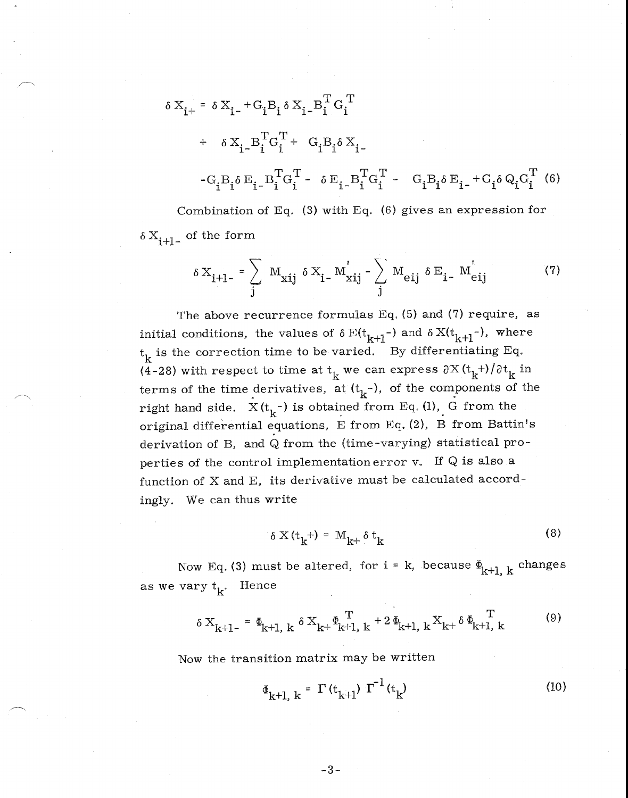$$
\delta X_{i+} = \delta X_{i-} + G_i B_i \delta X_{i-} B_i^T G_i^T
$$
  
+ 
$$
\delta X_{i-} B_i^T G_i^T + G_i B_i \delta X_{i-}
$$
  
-
$$
G_i B_i \delta E_{i-} B_i^T G_i^T - \delta E_{i-} B_i^T G_i^T - G_i B_i \delta E_{i-} + G_i \delta Q_i G_i^T
$$
 (6)  
Combination of Eq. (3) with Eq. (6) gives an expression for

 $\delta X_{i+1-}$  of the form

$$
\delta X_{i+1-} = \sum_{j} M_{xij} \delta X_{i-} M'_{xij} - \sum_{j} M_{eij} \delta E_{i-} M'_{eij}
$$
 (7)

The above recurrence formulas Eq. (5) and (7) require, as initial conditions, the values of  $\delta E(t_{k+1}-)$  and  $\delta X(t_{k+1}-)$ , where  $t_k$  is the correction time to be varied. By differentiating Eq. (4-28) with respect to time at  $t_k$  we can express  $\partial X(t_k+) / \partial t_k$  in terms of the time derivatives, at  $(t_k^-)$ , of the components of the right hand side.  $X(t_k^{-})$  is obtained from Eq. (1), G from the original differential equations, E from Eq. (2), B from Battin's derivation of B, and Q from the (time-varying) statistical properties of the control implementation error  $v$ . If  $Q$  is also a function of X and E, its derivative must be calculated accordingly. We can thus write

$$
\delta X(t_k^+) = M_{k+} \delta t_k \tag{8}
$$

Now Eq. (3) must be altered, for  $i = k$ , because  $\Phi_{k+1, k}$  changes as we vary  $t_k$ . Hence

$$
\delta X_{k+1-} = \Phi_{k+1, k} \delta X_{k+} \Phi_{k+1, k}^T + 2 \Phi_{k+1, k} X_{k+} \delta \Phi_{k+1, k}^T
$$
 (9)

Now the transition matrix may be written

$$
\Phi_{k+1, k} = \Gamma(t_{k+1}) \Gamma^{-1}(t_k)
$$
 (10)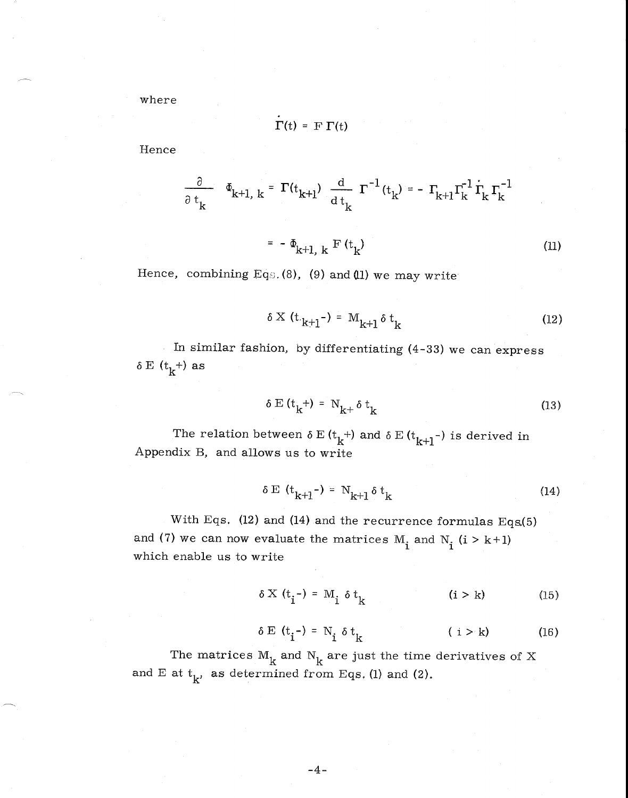where

$$
\Gamma(t) = F \; \Gamma(t)
$$

Hence

$$
\frac{\partial}{\partial t_k} \quad \Phi_{k+1, k} = \Gamma(t_{k+1}) \frac{d}{dt_k} \Gamma^{-1}(t_k) = -\Gamma_{k+1} \Gamma_k^{-1} \Gamma_k^{-1} \Gamma_k^{-1}
$$
\n
$$
= -\Phi_{k+1, k} \Gamma(t_k) \tag{11}
$$

Hence, combining Eqs. (8), (9) and (11) we may write

$$
\delta \times (\mathbf{t}_{k+1}) = \mathbf{M}_{k+1} \delta \mathbf{t}_k \tag{12}
$$

In similar fashion, by differentiating (4-33) we can express  $E(t_k^+)$  as

$$
\delta \to (\mathbf{t}_{\mathbf{k}}^+) = \mathbf{N}_{\mathbf{k}^+} \delta \mathbf{t}_{\mathbf{k}} \tag{13}
$$

The relation between  $\delta E(t_k^+)$  and  $\delta E(t_{k+1}^-)$  is derived in Appendix B, and allows us to write

$$
\delta \to (\mathbf{t}_{k+1} -) = \mathbf{N}_{k+1} \delta \mathbf{t}_k \tag{14}
$$

With Eqs. (12) and (14) and the recurrence formulas Eqs.(5) and (7) we can now evaluate the matrices  $M_i$  and  $N_i$  (i > k+1) which enable us to write

 $5 \times (t_i^-) = M_i \delta t_k$  (i > k) (15)

$$
\delta \to (t_i^-) = N_i \delta t_k \qquad (i > k) \qquad (16)
$$

The matrices  $M_k$  and  $N_k$  are just the time derivatives of X and E at  $t_k$ , as determined from Eqs. (1) and (2).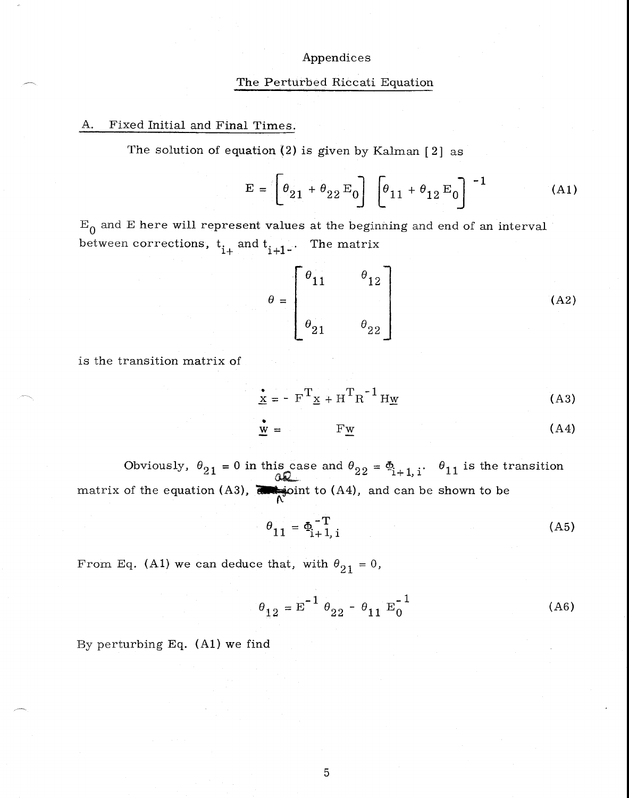### Appendices

#### The Perturbed Riccati Equation

#### A. Fixed Initial and Final Times.

The solution of equation  $(2)$  is given by Kalman  $[2]$  as

$$
\mathbf{E} = \left[\theta_{21} + \theta_{22} \mathbf{E}_0\right] \left[\theta_{11} + \theta_{12} \mathbf{E}_0\right]^{-1} \tag{A1}
$$

 $\mathbf{E}_{\mathbf{0}}$  and  $\mathbf{E}$  here will represent values at the beginning and end of an interval between corrections,  $t_{i+1}$  and  $t_{i+1}$ . The matrix

$$
\theta = \begin{bmatrix} \theta_{11} & \theta_{12} \\ \theta_{21} & \theta_{22} \end{bmatrix}
$$
 (A2)

is the transition matrix of

$$
\underline{\mathbf{x}} = - \mathbf{F}^{\mathrm{T}} \underline{\mathbf{x}} + \mathbf{H}^{\mathrm{T}} \mathbf{R}^{-1} \mathbf{H} \underline{\mathbf{w}}
$$
 (A3)

$$
\mathbf{w} = \mathbf{F}\mathbf{w} \tag{A4}
$$

Obviously,  $\theta_{21}$  = 0 in this case and  $\theta_{2}$  $22 = \Phi_{i+1, i}$ .  $\theta_{11}$  is the transition matrix of the equation (A3),  $\overline{d}$  joint to (A4), and can be shown to be

$$
\theta_{11} = \Phi_{i+1, i}^{-T} \tag{A5}
$$

From Eq. (A1) we can deduce that, with  $\theta_{21}= 0$ ,

$$
\theta_{12} = E^{-1} \theta_{22} - \theta_{11} E_0^{-1}
$$
 (A6)

By perturbing Eq. (Al) we find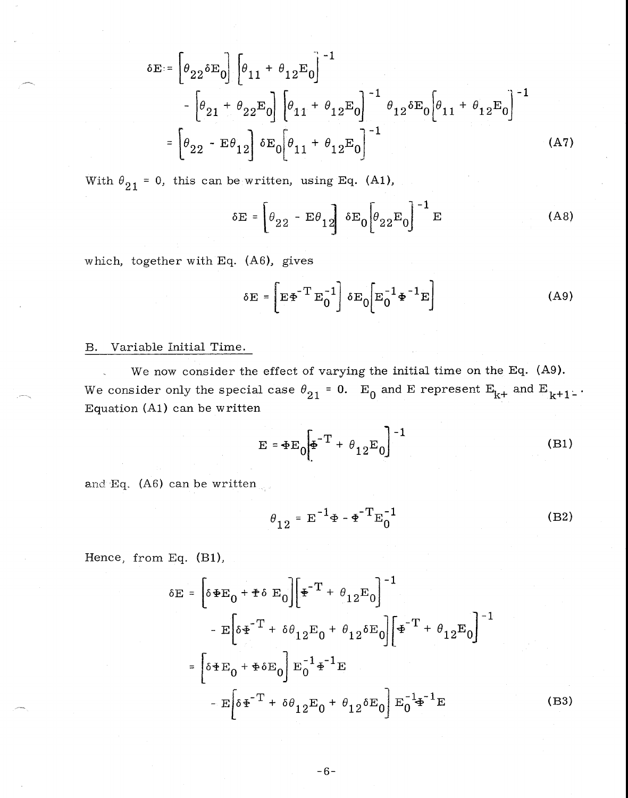$$
\delta E = \left[ \theta_{22} \delta E_0 \right] \left[ \theta_{11} + \theta_{12} E_0 \right]^{-1}
$$
  

$$
- \left[ \theta_{21} + \theta_{22} E_0 \right] \left[ \theta_{11} + \theta_{12} E_0 \right]^{-1} \theta_{12} \delta E_0 \left[ \theta_{11} + \theta_{12} E_0 \right]^{-1}
$$
  

$$
= \left[ \theta_{22} - E \theta_{12} \right] \delta E_0 \left[ \theta_{11} + \theta_{12} E_0 \right]^{-1}
$$
 (A7)

With  $\theta_{21} = 0$ , this can be written, using Eq. (A1),

$$
\delta E = \left[ \theta_{22} - E\theta_{12} \right] \delta E_0 \left[ \theta_{22} E_0 \right]^{-1} E \tag{A8}
$$

which, together with Eq. (A6), gives

$$
\delta \mathbf{E} = \left[ \mathbf{E} \mathbf{\Phi}^{-T} \mathbf{E}_0^{-1} \right] \delta \mathbf{E}_0 \left[ \mathbf{E}_0^{-1} \mathbf{\Phi}^{-1} \mathbf{E} \right]
$$
 (A9)

# B. Variable Initial Time.

We now consider the effect of varying the initial time on the Eq. (A9). We consider only the special case  $\theta_{21}$  = 0. E<sub>0</sub> and E represent E<sub>k+</sub> and E<sub>k+1</sub>... Equation (Al) can be written

$$
E = \Phi E_0 \bigg[ \Phi^{-T} + \theta_{12} E_0 \bigg]^{-1}
$$
 (B1)

and Eq.  $(A6)$  can be written

$$
\theta_{12} = E^{-1} \Phi - \Phi^{-T} E_0^{-1}
$$
 (B2)

Hence, from Eq. (B1),

$$
\delta E = \left[ \delta \Phi E_0 + \Phi \delta E_0 \right] \left[ \Phi^{-T} + \theta_{12} E_0 \right]^{-1}
$$
  
-  $E \left[ \delta \Phi^{-T} + \delta \theta_{12} E_0 + \theta_{12} \delta E_0 \right] \left[ \Phi^{-T} + \theta_{12} E_0 \right]^{-1}$   
=  $\left[ \delta \Phi E_0 + \Phi \delta E_0 \right] E_0^{-1} \Phi^{-1} E$   
-  $E \left[ \delta \Phi^{-T} + \delta \theta_{12} E_0 + \theta_{12} \delta E_0 \right] E_0^{-1} \Phi^{-1} E$  (B3)

 $-6-$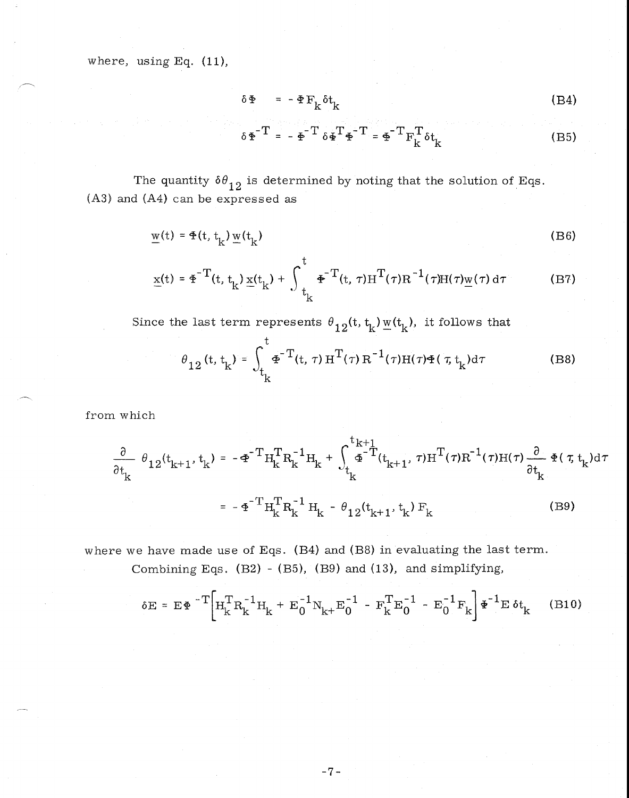where, using Eq. (11),

$$
\delta \Phi = - \Phi F_k^{} \delta t_k \tag{B4}
$$

$$
\delta \Phi^{-T} = - \Phi^{-T} \delta \Phi^{T} \Phi^{-T} = \Phi^{-T} F_{k}^{T} \delta t_{k}
$$
 (B5)

The quantity  $\delta\theta_{12}$  is determined by noting that the solution of Eqs. (A3) and (A4) can be expressed as

$$
\underline{\mathbf{w}}(t) = \Phi(t, t_k) \underline{\mathbf{w}}(t_k)
$$
 (B6)

$$
\underline{x}(t) = \underline{\Phi}^{-T}(t, t_k) \underline{x}(t_k) + \int_{t_k}^{t} \underline{\Phi}^{-T}(t, \tau) \underline{H}^{T}(\tau) \underline{R}^{-1}(\tau) \underline{H}(\tau) \underline{w}(\tau) d\tau
$$
 (B7)

Since the last term represents  $\theta_{12}$ (t, t<sub>k</sub>)  $w(t_k)$ , it follows that

$$
\theta_{12} (t, t_k) = \int_{t_k}^t \Phi^{-T}(t, \tau) H^{T}(\tau) R^{-1}(\tau) H(\tau) \Phi(\tau, t_k) d\tau
$$
 (B8)

from which

$$
\frac{\partial}{\partial t_{k}} \theta_{12}(t_{k+1}, t_{k}) = -\Phi^{-T} H_{k}^{T} R_{k}^{-1} H_{k} + \int_{t_{k}}^{t_{k+1}} \Phi^{-T} (t_{k+1}, \tau) H^{T} (\tau) R^{-1} (\tau) H (\tau) \frac{\partial}{\partial t_{k}} \Phi (\tau, t_{k}) d\tau
$$
\n
$$
= -\Phi^{-T} H_{k}^{T} R_{k}^{-1} H_{k} - \theta_{12}(t_{k+1}, t_{k}) F_{k}
$$
\n(B9)

where we have made use of Eqs. (B4) and (B8) in evaluating the last term.

Combining Eqs. (B2) - (B5), (B9) and (13), and simplifying,

$$
\delta E = E \Phi^{-T} \left[ H_{k}^{T} R_{k}^{-1} H_{k} + E_{0}^{-1} N_{k+} E_{0}^{-1} - F_{k}^{T} E_{0}^{-1} - E_{0}^{-1} F_{k} \right] \Phi^{-1} E \delta t_{k} \qquad (B10)
$$

 $-7-$